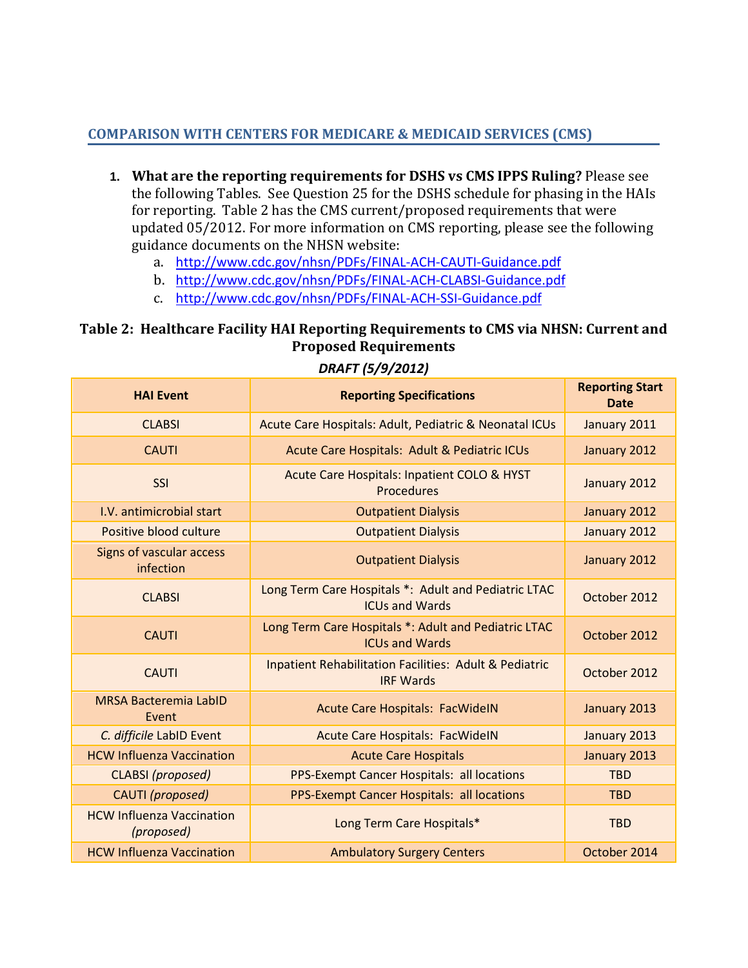## **COMPARISON WITH CENTERS FOR MEDICARE & MEDICAID SERVICES (CMS)**

- **1. What are the reporting requirements for DSHS vs CMS IPPS Ruling?** Please see the following Tables. See Question 25 for the DSHS schedule for phasing in the HAIs for reporting. Table 2 has the CMS current/proposed requirements that were updated 05/2012. For more information on CMS reporting, please see the following guidance documents on the NHSN website:
	- a. <http://www.cdc.gov/nhsn/PDFs/FINAL-ACH-CAUTI-Guidance.pdf>
	- b. <http://www.cdc.gov/nhsn/PDFs/FINAL-ACH-CLABSI-Guidance.pdf>
	- c. <http://www.cdc.gov/nhsn/PDFs/FINAL-ACH-SSI-Guidance.pdf>

## **Table 2: Healthcare Facility HAI Reporting Requirements to CMS via NHSN: Current and Proposed Requirements**

| <b>HAI Event</b>                               | <b>Reporting Specifications</b>                                                       | <b>Reporting Start</b><br><b>Date</b> |
|------------------------------------------------|---------------------------------------------------------------------------------------|---------------------------------------|
| <b>CLABSI</b>                                  | Acute Care Hospitals: Adult, Pediatric & Neonatal ICUs                                | January 2011                          |
| <b>CAUTI</b>                                   | Acute Care Hospitals: Adult & Pediatric ICUs                                          | January 2012                          |
| SSI                                            | Acute Care Hospitals: Inpatient COLO & HYST<br><b>Procedures</b>                      | January 2012                          |
| I.V. antimicrobial start                       | <b>Outpatient Dialysis</b>                                                            | January 2012                          |
| Positive blood culture                         | <b>Outpatient Dialysis</b>                                                            | January 2012                          |
| <b>Signs of vascular access</b><br>infection   | <b>Outpatient Dialysis</b>                                                            | January 2012                          |
| <b>CLABSI</b>                                  | Long Term Care Hospitals *: Adult and Pediatric LTAC<br><b>ICUs and Wards</b>         | October 2012                          |
| <b>CAUTI</b>                                   | Long Term Care Hospitals *: Adult and Pediatric LTAC<br><b>ICUs and Wards</b>         | October 2012                          |
| <b>CAUTI</b>                                   | <b>Inpatient Rehabilitation Facilities: Adult &amp; Pediatric</b><br><b>IRF Wards</b> | October 2012                          |
| <b>MRSA Bacteremia LabID</b><br>Event          | <b>Acute Care Hospitals: FacWidelN</b>                                                | January 2013                          |
| C. difficile LabID Event                       | <b>Acute Care Hospitals: FacWidelN</b>                                                | January 2013                          |
| <b>HCW Influenza Vaccination</b>               | <b>Acute Care Hospitals</b>                                                           | January 2013                          |
| CLABSI (proposed)                              | PPS-Exempt Cancer Hospitals: all locations                                            | <b>TBD</b>                            |
| CAUTI (proposed)                               | PPS-Exempt Cancer Hospitals: all locations                                            | <b>TBD</b>                            |
| <b>HCW Influenza Vaccination</b><br>(proposed) | Long Term Care Hospitals*                                                             | <b>TBD</b>                            |
| <b>HCW Influenza Vaccination</b>               | <b>Ambulatory Surgery Centers</b>                                                     | October 2014                          |

## *DRAFT (5/9/2012)*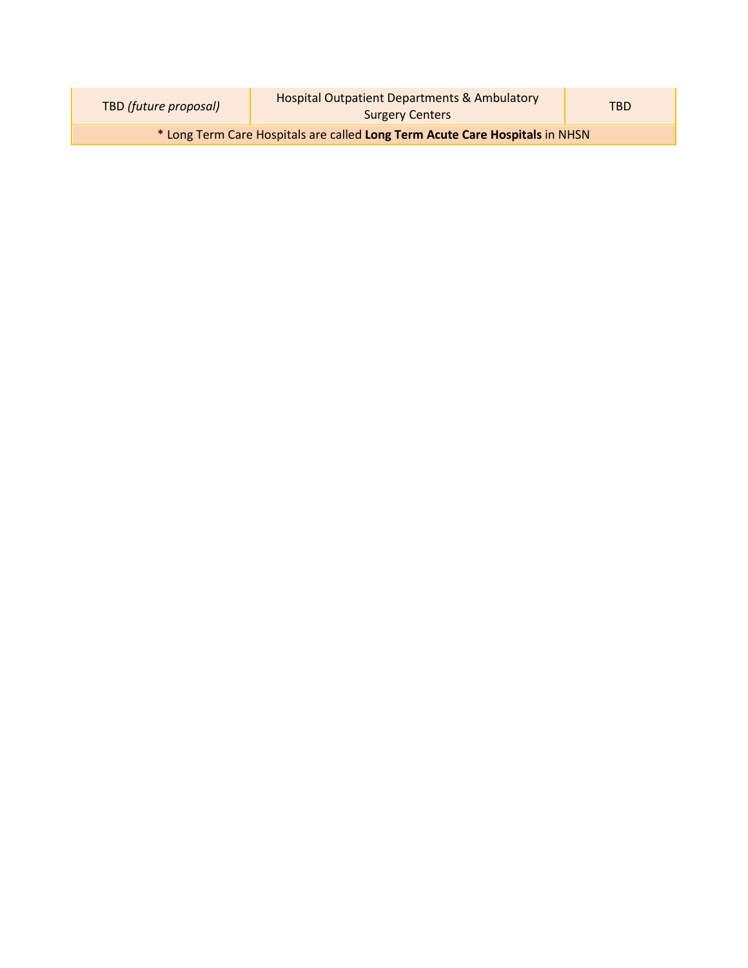| TBD (future proposal)                                                        | <b>Hospital Outpatient Departments &amp; Ambulatory</b><br><b>Surgery Centers</b> | <b>TRD</b> |  |
|------------------------------------------------------------------------------|-----------------------------------------------------------------------------------|------------|--|
| * Long Term Care Hospitals are called Long Term Acute Care Hospitals in NHSN |                                                                                   |            |  |